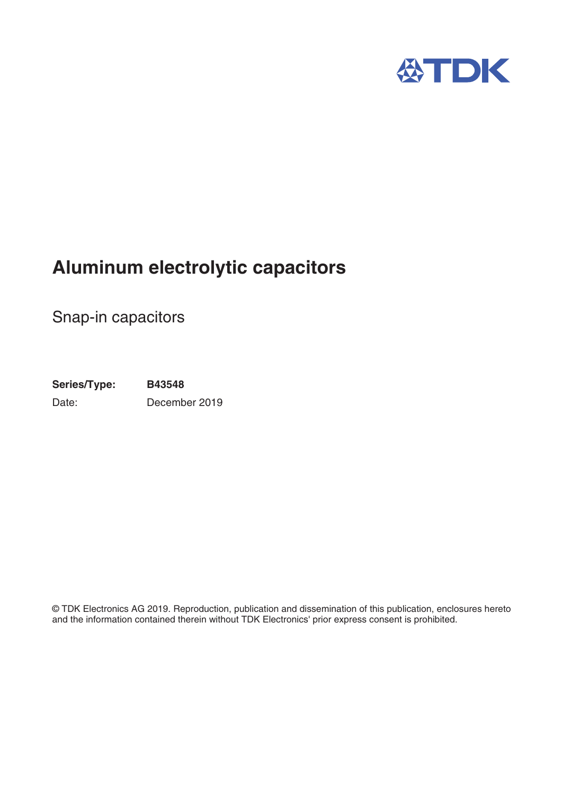

# **Aluminum electrolytic capacitors**

Snap-in capacitors

**Series/Type: B43548** Date: December 2019

© TDK Electronics AG 2019. Reproduction, publication and dissemination of this publication, enclosures hereto and the information contained therein without TDK Electronics' prior express consent is prohibited.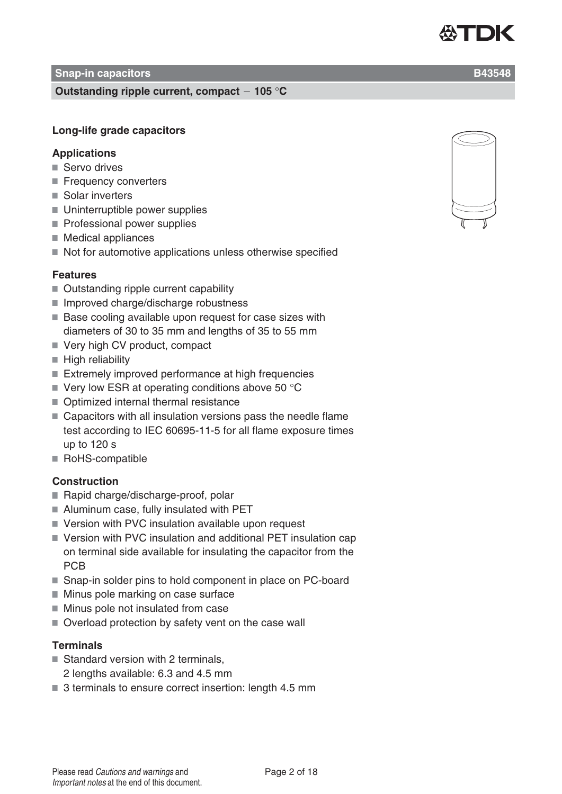#### **Snap-in capacitors B43548**

#### **Outstanding ripple current, compact 105** °**C**

## **Long-life grade capacitors**

#### **Applications**

- Servo drives
- Frequency converters
- Solar inverters
- Uninterruptible power supplies
- Professional power supplies
- Medical appliances
- $\blacksquare$  Not for automotive applications unless otherwise specified

#### **Features**

- Outstanding ripple current capability
- Improved charge/discharge robustness
- Base cooling available upon request for case sizes with diameters of 30 to 35 mm and lengths of 35 to 55 mm
- Very high CV product, compact
- $\blacksquare$  High reliability
- Extremely improved performance at high frequencies
- $\blacksquare$  Very low ESR at operating conditions above 50 °C
- Optimized internal thermal resistance
- Capacitors with all insulation versions pass the needle flame test according to IEC 60695-11-5 for all flame exposure times up to 120 s
- RoHS-compatible

#### **Construction**

- Rapid charge/discharge-proof, polar
- Aluminum case, fully insulated with PET
- Version with PVC insulation available upon request
- Version with PVC insulation and additional PET insulation cap on terminal side available for insulating the capacitor from the PCB
- Snap-in solder pins to hold component in place on PC-board
- $\blacksquare$  Minus pole marking on case surface
- $\blacksquare$  Minus pole not insulated from case
- Overload protection by safety vent on the case wall

#### **Terminals**

- $\blacksquare$  Standard version with 2 terminals.
	- 2 lengths available: 6.3 and 4.5 mm
- 3 terminals to ensure correct insertion: length 4.5 mm



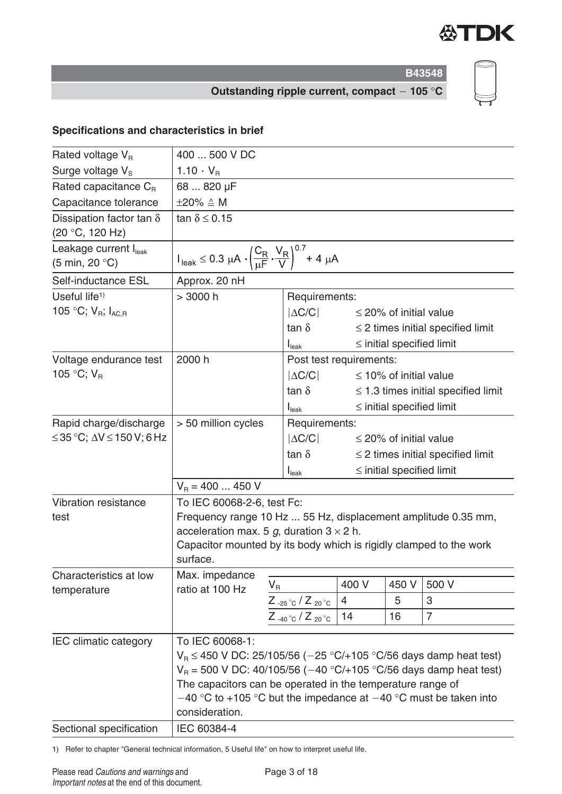

**Outstanding ripple current, compact 105** °**C**

## **Specifications and characteristics in brief**

| Rated voltage $V_{B}$                                                | 400  500 V DC                                                                                                                                                                                                                                                                                                           |                                          |                                        |                                          |                                        |  |  |  |
|----------------------------------------------------------------------|-------------------------------------------------------------------------------------------------------------------------------------------------------------------------------------------------------------------------------------------------------------------------------------------------------------------------|------------------------------------------|----------------------------------------|------------------------------------------|----------------------------------------|--|--|--|
| Surge voltage $V_s$                                                  | 1.10 $\cdot$ V <sub>R</sub>                                                                                                                                                                                                                                                                                             |                                          |                                        |                                          |                                        |  |  |  |
| Rated capacitance $C_{B}$                                            | 68  820 µF                                                                                                                                                                                                                                                                                                              |                                          |                                        |                                          |                                        |  |  |  |
| Capacitance tolerance                                                | $\pm 20\% \triangleq M$                                                                                                                                                                                                                                                                                                 |                                          |                                        |                                          |                                        |  |  |  |
| Dissipation factor tan $\delta$<br>(20 °C, 120 Hz)                   | tan $\delta \leq 0.15$                                                                                                                                                                                                                                                                                                  |                                          |                                        |                                          |                                        |  |  |  |
| Leakage current $I_{\text{leak}}$<br>$(5 \text{ min}, 20 \degree C)$ | $I_{\text{leak}} \le 0.3 \ \mu A \cdot \left(\frac{C_R}{\mu F} \cdot \frac{V_R}{V}\right)^{0.7} + 4 \ \mu A$                                                                                                                                                                                                            |                                          |                                        |                                          |                                        |  |  |  |
| Self-inductance ESL                                                  | Approx. 20 nH                                                                                                                                                                                                                                                                                                           |                                          |                                        |                                          |                                        |  |  |  |
| Useful life <sup><math>1</math></sup>                                | > 3000 h                                                                                                                                                                                                                                                                                                                | Requirements:                            |                                        |                                          |                                        |  |  |  |
| 105 °C; $V_R$ ; $I_{AC,R}$                                           |                                                                                                                                                                                                                                                                                                                         | $ \Delta C/C $                           |                                        | $\leq$ 20% of initial value              |                                        |  |  |  |
|                                                                      |                                                                                                                                                                                                                                                                                                                         | tan $\delta$                             |                                        |                                          | $\leq$ 2 times initial specified limit |  |  |  |
|                                                                      |                                                                                                                                                                                                                                                                                                                         | I <sub>leak</sub>                        |                                        |                                          | $\le$ initial specified limit          |  |  |  |
| Voltage endurance test                                               | 2000 h                                                                                                                                                                                                                                                                                                                  | Post test requirements:                  |                                        |                                          |                                        |  |  |  |
| 105 °C; $V_{B}$                                                      |                                                                                                                                                                                                                                                                                                                         | $ \Delta C/C $                           |                                        | $\leq$ 10% of initial value              |                                        |  |  |  |
|                                                                      |                                                                                                                                                                                                                                                                                                                         | $\tan \delta$                            |                                        | $\leq$ 1.3 times initial specified limit |                                        |  |  |  |
|                                                                      |                                                                                                                                                                                                                                                                                                                         | $I_{\text{leak}}$                        |                                        | $\le$ initial specified limit            |                                        |  |  |  |
| Rapid charge/discharge                                               | > 50 million cycles                                                                                                                                                                                                                                                                                                     | Requirements:                            |                                        |                                          |                                        |  |  |  |
| ≤35 °C; $\Delta V$ ≤ 150 V; 6 Hz                                     |                                                                                                                                                                                                                                                                                                                         | $ \Delta C/C $                           | $\leq$ 20% of initial value            |                                          |                                        |  |  |  |
|                                                                      |                                                                                                                                                                                                                                                                                                                         | tan $\delta$                             | $\leq$ 2 times initial specified limit |                                          |                                        |  |  |  |
|                                                                      | $\le$ initial specified limit<br>$I_{\text{leak}}$                                                                                                                                                                                                                                                                      |                                          |                                        |                                          |                                        |  |  |  |
|                                                                      | $V_B = 400$ 450 V                                                                                                                                                                                                                                                                                                       |                                          |                                        |                                          |                                        |  |  |  |
| Vibration resistance<br>test                                         | To IEC 60068-2-6, test Fc:<br>Frequency range 10 Hz  55 Hz, displacement amplitude 0.35 mm,<br>acceleration max. 5 g, duration $3 \times 2$ h.<br>Capacitor mounted by its body which is rigidly clamped to the work                                                                                                    |                                          |                                        |                                          |                                        |  |  |  |
|                                                                      | surface.                                                                                                                                                                                                                                                                                                                |                                          |                                        |                                          |                                        |  |  |  |
| Characteristics at low                                               | Max. impedance                                                                                                                                                                                                                                                                                                          | $\mathsf{V}_\mathsf{R}$                  | 400 V                                  | 450 V                                    | 500 V                                  |  |  |  |
| temperature                                                          | ratio at 100 Hz                                                                                                                                                                                                                                                                                                         | Z $_{-25\degree C}$ / Z $_{20\degree C}$ | $\overline{4}$                         | 5                                        | 3                                      |  |  |  |
|                                                                      |                                                                                                                                                                                                                                                                                                                         | $Z_{-40\degree}C/Z_{20\degree}C$         | 14                                     | 16                                       | $\overline{7}$                         |  |  |  |
|                                                                      |                                                                                                                                                                                                                                                                                                                         |                                          |                                        |                                          |                                        |  |  |  |
| <b>IEC climatic category</b>                                         | To IEC 60068-1:<br>$V_B \le 450$ V DC: 25/105/56 (-25 °C/+105 °C/56 days damp heat test)<br>$V_B$ = 500 V DC: 40/105/56 (-40 °C/+105 °C/56 days damp heat test)<br>The capacitors can be operated in the temperature range of<br>$-40$ °C to +105 °C but the impedance at $-40$ °C must be taken into<br>consideration. |                                          |                                        |                                          |                                        |  |  |  |
| Sectional specification                                              | IEC 60384-4                                                                                                                                                                                                                                                                                                             |                                          |                                        |                                          |                                        |  |  |  |

1) Refer to chapter "General technical information, 5 Useful life" on how to interpret useful life.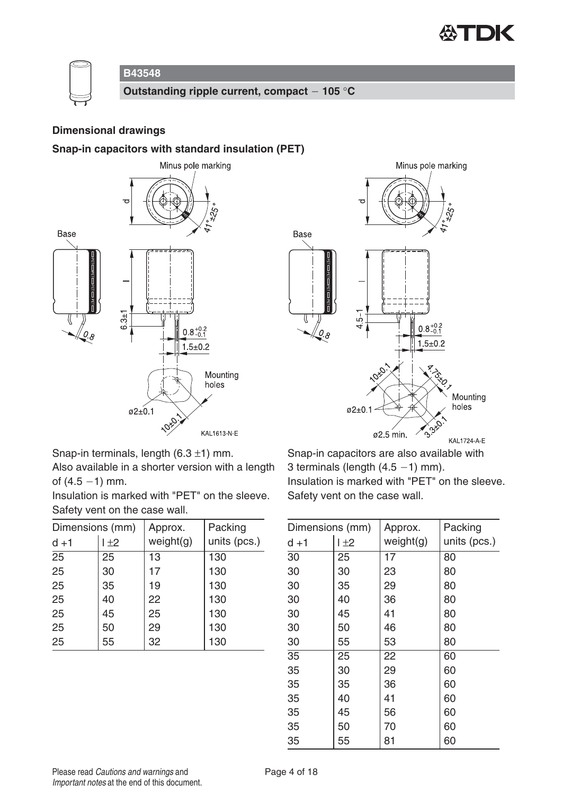



**Outstanding ripple current, compact 105** °**C**

#### **Dimensional drawings**

#### **Snap-in capacitors with standard insulation (PET)**





Snap-in terminals, length  $(6.3 \pm 1)$  mm.

Also available in a shorter version with a length of  $(4.5 - 1)$  mm.

Insulation is marked with "PET" on the sleeve. Safety vent on the case wall.

| Dimensions (mm) |         | Approx.   | Packing      |
|-----------------|---------|-----------|--------------|
| $d + 1$         | $\pm 2$ | weight(g) | units (pcs.) |
| 25              | 25      | 13        | 130          |
| 25              | 30      | 17        | 130          |
| 25              | 35      | 19        | 130          |
| 25              | 40      | 22        | 130          |
| 25              | 45      | 25        | 130          |
| 25              | 50      | 29        | 130          |
| 25              | 55      | 32        | 130          |

Snap-in capacitors are also available with 3 terminals (length  $(4.5 - 1)$  mm). Insulation is marked with "PET" on the sleeve. Safety vent on the case wall.

| Dimensions (mm) |     | Approx.   | Packing      |  |  |  |  |
|-----------------|-----|-----------|--------------|--|--|--|--|
| $d + 1$         | 1±2 | weight(g) | units (pcs.) |  |  |  |  |
| $\overline{30}$ | 25  | 17        | 80           |  |  |  |  |
| 30              | 30  | 23        | 80           |  |  |  |  |
| 30              | 35  | 29        | 80           |  |  |  |  |
| 30              | 40  | 36        | 80           |  |  |  |  |
| 30              | 45  | 41        | 80           |  |  |  |  |
| 30              | 50  | 46        | 80           |  |  |  |  |
| 30              | 55  | 53        | 80           |  |  |  |  |
| 35              | 25  | 22        | 60           |  |  |  |  |
| 35              | 30  | 29        | 60           |  |  |  |  |
| 35              | 35  | 36        | 60           |  |  |  |  |
| 35              | 40  | 41        | 60           |  |  |  |  |
| 35              | 45  | 56        | 60           |  |  |  |  |
| 35              | 50  | 70        | 60           |  |  |  |  |
| 35              | 55  | 81        | 60           |  |  |  |  |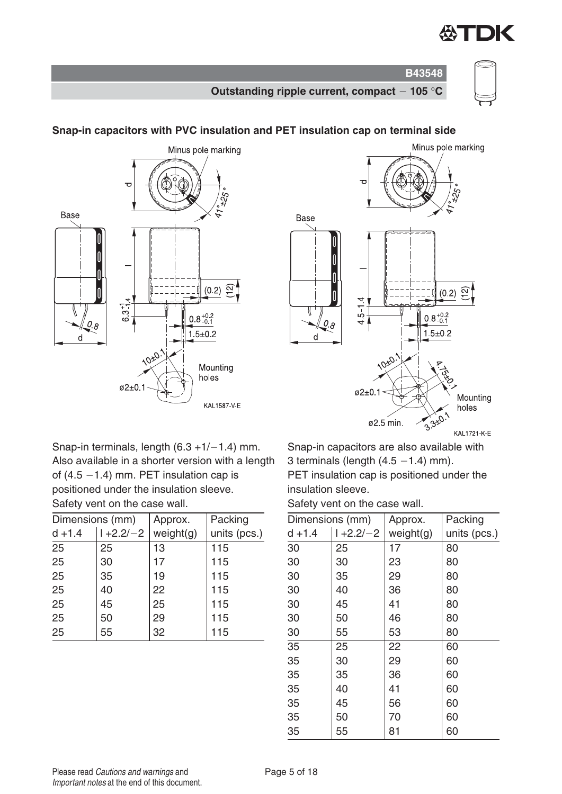

**B43548 Outstanding ripple current, compact 105** °**C**



## Minus pole marking Base  $(0.2)$   $\Omega$  $63^{+1}_{-14}$  $0.8^{+0.2}_{-0.1}$  $\Omega$ 8  $1.5 + 0.2$ d 10:0. Mountina holes  $\varphi$ 2±0.1 KAL1587-V-E

## **Snap-in capacitors with PVC insulation and PET insulation cap on terminal side**



Snap-in terminals, length  $(6.3 + 1/-1.4)$  mm. Also available in a shorter version with a length of  $(4.5 - 1.4)$  mm. PET insulation cap is positioned under the insulation sleeve. Safety vent on the case wall.

| Dimensions (mm) |               | Approx.   | Packing      |
|-----------------|---------------|-----------|--------------|
| $d + 1.4$       | $1 + 2.2 - 2$ | weight(g) | units (pcs.) |
| 25              | 25            | 13        | 115          |
| 25              | 30            | 17        | 115          |
| 25              | 35            | 19        | 115          |
| 25              | 40            | 22        | 115          |
| 25              | 45            | 25        | 115          |
| 25              | 50            | 29        | 115          |
| 25              | 55            | 32        | 115          |

Snap-in capacitors are also available with 3 terminals (length  $(4.5 - 1.4)$  mm). PET insulation cap is positioned under the insulation sleeve.

Safety vent on the case wall.

| Dimensions (mm) |                | Approx.   | Packing      |
|-----------------|----------------|-----------|--------------|
| $d + 1.4$       | $1 + 2.2 / -2$ | weight(g) | units (pcs.) |
| 30              | 25             | 17        | 80           |
| 30              | 30             | 23        | 80           |
| 30              | 35             | 29        | 80           |
| 30              | 40             | 36        | 80           |
| 30              | 45             | 41        | 80           |
| 30              | 50             | 46        | 80           |
| 30              | 55             | 53        | 80           |
| 35              | 25             | 22        | 60           |
| 35              | 30             | 29        | 60           |
| 35              | 35             | 36        | 60           |
| 35              | 40             | 41        | 60           |
| 35              | 45             | 56        | 60           |
| 35              | 50             | 70        | 60           |
| 35              | 55             | 81        | 60           |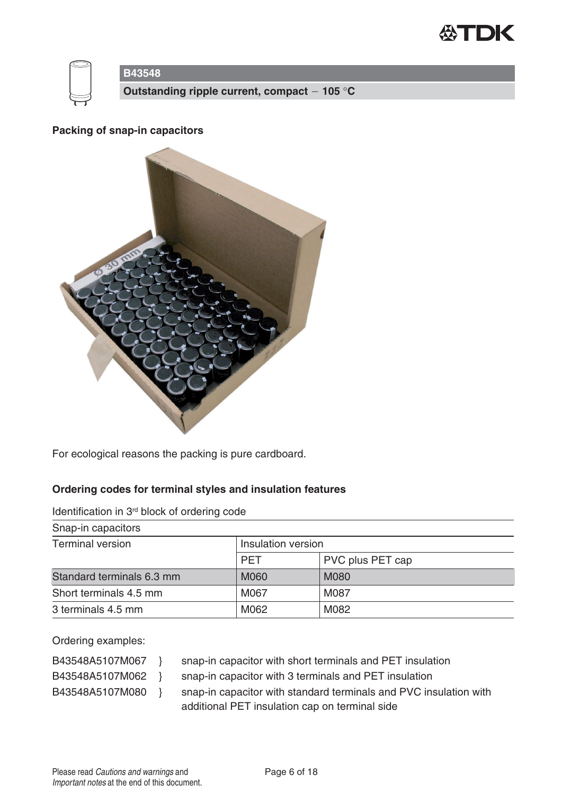



**Outstanding ripple current, compact 105** °**C**

#### **Packing of snap-in capacitors**



For ecological reasons the packing is pure cardboard.

## **Ordering codes for terminal styles and insulation features**

Identification in 3rd block of ordering code

| Snap-in capacitors        |                    |                  |  |  |  |  |
|---------------------------|--------------------|------------------|--|--|--|--|
| <b>Terminal version</b>   | Insulation version |                  |  |  |  |  |
|                           | <b>PET</b>         | PVC plus PET cap |  |  |  |  |
| Standard terminals 6.3 mm | <b>M060</b>        | <b>M080</b>      |  |  |  |  |
| Short terminals 4.5 mm    | M067               | M087             |  |  |  |  |
| 3 terminals 4.5 mm        | M062               | M082             |  |  |  |  |

Ordering examples:

- 
- B43548A5107M067 } snap-in capacitor with short terminals and PET insulation
- 
- B43548A5107M062 } snap-in capacitor with 3 terminals and PET insulation
- 
- B43548A5107M080 } snap-in capacitor with standard terminals and PVC insulation with additional PET insulation cap on terminal side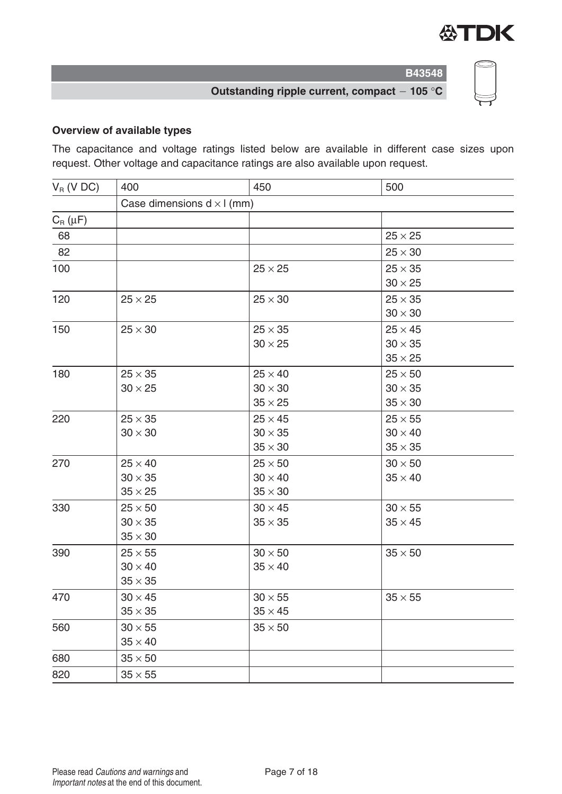

## **Outstanding ripple current, compact 105** °**C**

## **Overview of available types**

The capacitance and voltage ratings listed below are available in different case sizes upon request. Other voltage and capacitance ratings are also available upon request.

| $V_R$ (V DC) | 400                               | 450            | 500            |
|--------------|-----------------------------------|----------------|----------------|
|              | Case dimensions $d \times l$ (mm) |                |                |
| $C_R(\mu F)$ |                                   |                |                |
| 68           |                                   |                | $25 \times 25$ |
| 82           |                                   |                | $25 \times 30$ |
| 100          |                                   | $25 \times 25$ | $25 \times 35$ |
|              |                                   |                | $30 \times 25$ |
| 120          | $25 \times 25$                    | $25 \times 30$ | $25 \times 35$ |
|              |                                   |                | $30 \times 30$ |
| 150          | $25 \times 30$                    | $25 \times 35$ | $25 \times 45$ |
|              |                                   | $30 \times 25$ | $30 \times 35$ |
|              |                                   |                | $35 \times 25$ |
| 180          | $25 \times 35$                    | $25 \times 40$ | $25 \times 50$ |
|              | $30 \times 25$                    | $30\times30$   | $30 \times 35$ |
|              |                                   | $35 \times 25$ | $35 \times 30$ |
| 220          | $25 \times 35$                    | $25 \times 45$ | $25 \times 55$ |
|              | $30 \times 30$                    | $30 \times 35$ | $30 \times 40$ |
|              |                                   | $35 \times 30$ | $35 \times 35$ |
| 270          | $25 \times 40$                    | $25 \times 50$ | $30 \times 50$ |
|              | $30 \times 35$                    | $30\times40$   | $35 \times 40$ |
|              | $35 \times 25$                    | $35 \times 30$ |                |
| 330          | $25 \times 50$                    | $30 \times 45$ | $30 \times 55$ |
|              | $30 \times 35$                    | $35\times35$   | $35 \times 45$ |
|              | $35 \times 30$                    |                |                |
| 390          | $25 \times 55$                    | $30 \times 50$ | $35 \times 50$ |
|              | $30 \times 40$                    | $35 \times 40$ |                |
|              | $35\times35$                      |                |                |
| 470          | $30 \times 45$                    | $30\times55$   | $35\times55$   |
|              | $35\times35$                      | $35 \times 45$ |                |
| 560          | $30 \times 55$                    | $35\times50$   |                |
|              | $35 \times 40$                    |                |                |
| 680          | $35 \times 50$                    |                |                |
| 820          | $35 \times 55$                    |                |                |
|              |                                   |                |                |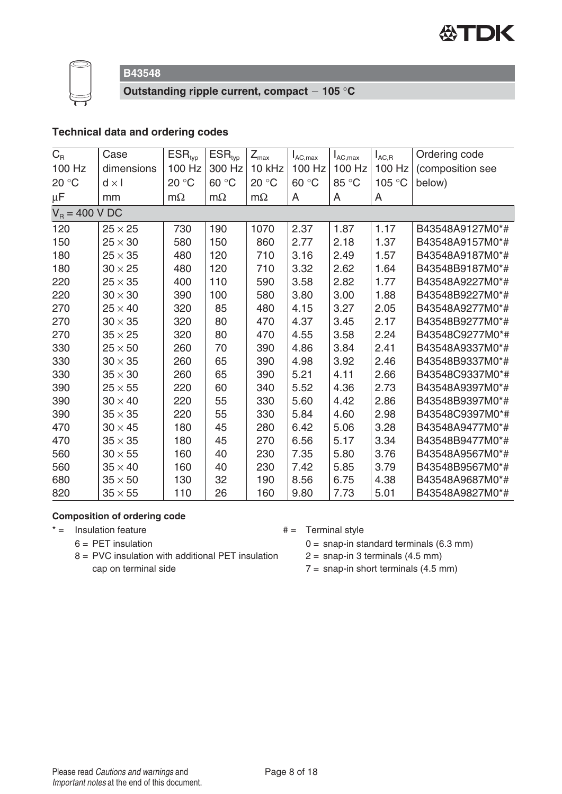



**Outstanding ripple current, compact 105** °**C**

## **Technical data and ordering codes**

| $C_R$            | Case           | $ESR_{typ}$ | $ESR_{typ}$ | $Z_{\sf max}$ | $I_{AC,max}$ | $I_{AC,max}$ | $I_{AC,R}$ | Ordering code    |
|------------------|----------------|-------------|-------------|---------------|--------------|--------------|------------|------------------|
| 100 Hz           | dimensions     | 100 Hz      | 300 Hz      | 10 kHz        | 100 Hz       | 100 Hz       | 100 Hz     | (composition see |
| 20 °C            | $d \times I$   | 20 °C       | 60 °C       | 20 °C         | 60 °C        | 85 °C        | 105 °C     | below)           |
| μF               | mm             | $m\Omega$   | $m\Omega$   | $m\Omega$     | A            | A            | A          |                  |
| $V_R = 400 V DC$ |                |             |             |               |              |              |            |                  |
| 120              | $25 \times 25$ | 730         | 190         | 1070          | 2.37         | 1.87         | 1.17       | B43548A9127M0*#  |
| 150              | $25 \times 30$ | 580         | 150         | 860           | 2.77         | 2.18         | 1.37       | B43548A9157M0*#  |
| 180              | $25 \times 35$ | 480         | 120         | 710           | 3.16         | 2.49         | 1.57       | B43548A9187M0*#  |
| 180              | $30 \times 25$ | 480         | 120         | 710           | 3.32         | 2.62         | 1.64       | B43548B9187M0*#  |
| 220              | $25 \times 35$ | 400         | 110         | 590           | 3.58         | 2.82         | 1.77       | B43548A9227M0*#  |
| 220              | $30 \times 30$ | 390         | 100         | 580           | 3.80         | 3.00         | 1.88       | B43548B9227M0*#  |
| 270              | $25 \times 40$ | 320         | 85          | 480           | 4.15         | 3.27         | 2.05       | B43548A9277M0*#  |
| 270              | $30 \times 35$ | 320         | 80          | 470           | 4.37         | 3.45         | 2.17       | B43548B9277M0*#  |
| 270              | $35 \times 25$ | 320         | 80          | 470           | 4.55         | 3.58         | 2.24       | B43548C9277M0*#  |
| 330              | $25 \times 50$ | 260         | 70          | 390           | 4.86         | 3.84         | 2.41       | B43548A9337M0*#  |
| 330              | $30 \times 35$ | 260         | 65          | 390           | 4.98         | 3.92         | 2.46       | B43548B9337M0*#  |
| 330              | $35 \times 30$ | 260         | 65          | 390           | 5.21         | 4.11         | 2.66       | B43548C9337M0*#  |
| 390              | $25 \times 55$ | 220         | 60          | 340           | 5.52         | 4.36         | 2.73       | B43548A9397M0*#  |
| 390              | $30 \times 40$ | 220         | 55          | 330           | 5.60         | 4.42         | 2.86       | B43548B9397M0*#  |
| 390              | $35 \times 35$ | 220         | 55          | 330           | 5.84         | 4.60         | 2.98       | B43548C9397M0*#  |
| 470              | $30 \times 45$ | 180         | 45          | 280           | 6.42         | 5.06         | 3.28       | B43548A9477M0*#  |
| 470              | $35 \times 35$ | 180         | 45          | 270           | 6.56         | 5.17         | 3.34       | B43548B9477M0*#  |
| 560              | $30 \times 55$ | 160         | 40          | 230           | 7.35         | 5.80         | 3.76       | B43548A9567M0*#  |
| 560              | $35 \times 40$ | 160         | 40          | 230           | 7.42         | 5.85         | 3.79       | B43548B9567M0*#  |
| 680              | $35 \times 50$ | 130         | 32          | 190           | 8.56         | 6.75         | 4.38       | B43548A9687M0*#  |
| 820              | $35 \times 55$ | 110         | 26          | 160           | 9.80         | 7.73         | 5.01       | B43548A9827M0*#  |

#### **Composition of ordering code**

- $* =$  Insulation feature  $* =$  Terminal style
	- $6 = PET$  insulation
- 
- 8 = PVC insulation with additional PET insulation cap on terminal side
- $0 =$  snap-in standard terminals (6.3 mm)  $2 =$  snap-in 3 terminals (4.5 mm)
- $7 =$  snap-in short terminals (4.5 mm)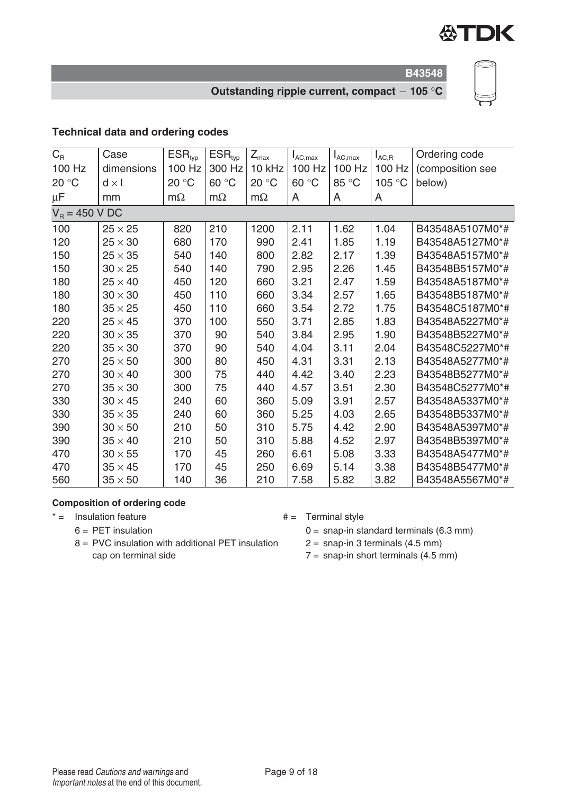

**B43548**

## **Outstanding ripple current, compact 105** °**C**

## **Technical data and ordering codes**

| $C_R$  | Case             | $ESR_{typ}$ | $ESR_{typ}$ | $Z_{\text{max}}$ | $I_{AC,max}$ | $I_{AC,max}$ | $I_{AC,R}$ | Ordering code    |  |
|--------|------------------|-------------|-------------|------------------|--------------|--------------|------------|------------------|--|
| 100 Hz | dimensions       | 100 Hz      | 300 Hz      | 10 kHz           | 100 Hz       | 100 Hz       | 100 Hz     | (composition see |  |
| 20 °C  | $d \times l$     | 20 °C       | 60 °C       | 20 °C            | 60 °C        | 85 °C        | 105 °C     | below)           |  |
| μF     | mm               | $m\Omega$   | $m\Omega$   | $m\Omega$        | A            | A            | A          |                  |  |
|        | $V_R = 450 V DC$ |             |             |                  |              |              |            |                  |  |
| 100    | $25 \times 25$   | 820         | 210         | 1200             | 2.11         | 1.62         | 1.04       | B43548A5107M0*#  |  |
| 120    | $25 \times 30$   | 680         | 170         | 990              | 2.41         | 1.85         | 1.19       | B43548A5127M0*#  |  |
| 150    | $25 \times 35$   | 540         | 140         | 800              | 2.82         | 2.17         | 1.39       | B43548A5157M0*#  |  |
| 150    | $30 \times 25$   | 540         | 140         | 790              | 2.95         | 2.26         | 1.45       | B43548B5157M0*#  |  |
| 180    | $25 \times 40$   | 450         | 120         | 660              | 3.21         | 2.47         | 1.59       | B43548A5187M0*#  |  |
| 180    | $30 \times 30$   | 450         | 110         | 660              | 3.34         | 2.57         | 1.65       | B43548B5187M0*#  |  |
| 180    | $35 \times 25$   | 450         | 110         | 660              | 3.54         | 2.72         | 1.75       | B43548C5187M0*#  |  |
| 220    | $25 \times 45$   | 370         | 100         | 550              | 3.71         | 2.85         | 1.83       | B43548A5227M0*#  |  |
| 220    | $30 \times 35$   | 370         | 90          | 540              | 3.84         | 2.95         | 1.90       | B43548B5227M0*#  |  |
| 220    | $35 \times 30$   | 370         | 90          | 540              | 4.04         | 3.11         | 2.04       | B43548C5227M0*#  |  |
| 270    | $25 \times 50$   | 300         | 80          | 450              | 4.31         | 3.31         | 2.13       | B43548A5277M0*#  |  |
| 270    | $30 \times 40$   | 300         | 75          | 440              | 4.42         | 3.40         | 2.23       | B43548B5277M0*#  |  |
| 270    | $35 \times 30$   | 300         | 75          | 440              | 4.57         | 3.51         | 2.30       | B43548C5277M0*#  |  |
| 330    | $30 \times 45$   | 240         | 60          | 360              | 5.09         | 3.91         | 2.57       | B43548A5337M0*#  |  |
| 330    | $35 \times 35$   | 240         | 60          | 360              | 5.25         | 4.03         | 2.65       | B43548B5337M0*#  |  |
| 390    | $30 \times 50$   | 210         | 50          | 310              | 5.75         | 4.42         | 2.90       | B43548A5397M0*#  |  |
| 390    | $35 \times 40$   | 210         | 50          | 310              | 5.88         | 4.52         | 2.97       | B43548B5397M0*#  |  |
| 470    | $30 \times 55$   | 170         | 45          | 260              | 6.61         | 5.08         | 3.33       | B43548A5477M0*#  |  |
| 470    | $35 \times 45$   | 170         | 45          | 250              | 6.69         | 5.14         | 3.38       | B43548B5477M0*#  |  |
| 560    | $35 \times 50$   | 140         | 36          | 210              | 7.58         | 5.82         | 3.82       | B43548A5567M0*#  |  |

#### **Composition of ordering code**

- $* =$  Insulation feature  $* =$  Terminal style
	- $6 = PET$  insulation
	- 8 = PVC insulation with additional PET insulation cap on terminal side
- - $0 =$  snap-in standard terminals (6.3 mm)
	- $2 =$  snap-in 3 terminals (4.5 mm)
	- $7 =$  snap-in short terminals  $(4.5 \text{ mm})$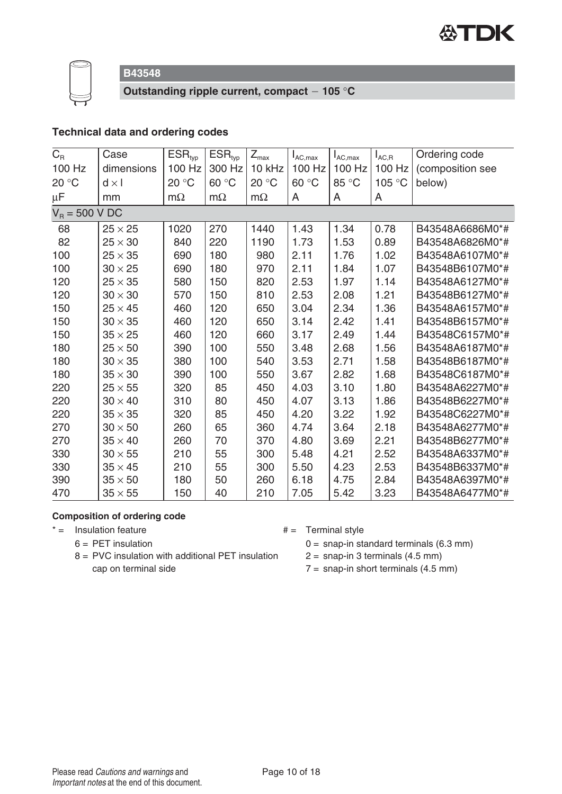



**Outstanding ripple current, compact 105** °**C**

## **Technical data and ordering codes**

| $C_R$  | Case             | $ESR_{typ}$ | $ESR_{typ}$ | $Z_{\textrm{max}}$ | $I_{AC,max}$ | $I_{AC,max}$ | $I_{AC,R}$ | Ordering code    |  |
|--------|------------------|-------------|-------------|--------------------|--------------|--------------|------------|------------------|--|
| 100 Hz | dimensions       | 100 Hz      | 300 Hz      | 10 kHz             | 100 Hz       | 100 Hz       | 100 Hz     | (composition see |  |
| 20 °C  | $d \times I$     | 20 °C       | 60 °C       | 20 °C              | 60 °C        | 85 °C        | 105 °C     | below)           |  |
| μF     | mm               | $m\Omega$   | $m\Omega$   | $m\Omega$          | A            | A            | A          |                  |  |
|        | $V_R = 500 V DC$ |             |             |                    |              |              |            |                  |  |
| 68     | $25 \times 25$   | 1020        | 270         | 1440               | 1.43         | 1.34         | 0.78       | B43548A6686M0*#  |  |
| 82     | $25 \times 30$   | 840         | 220         | 1190               | 1.73         | 1.53         | 0.89       | B43548A6826M0*#  |  |
| 100    | $25 \times 35$   | 690         | 180         | 980                | 2.11         | 1.76         | 1.02       | B43548A6107M0*#  |  |
| 100    | $30 \times 25$   | 690         | 180         | 970                | 2.11         | 1.84         | 1.07       | B43548B6107M0*#  |  |
| 120    | $25 \times 35$   | 580         | 150         | 820                | 2.53         | 1.97         | 1.14       | B43548A6127M0*#  |  |
| 120    | $30 \times 30$   | 570         | 150         | 810                | 2.53         | 2.08         | 1.21       | B43548B6127M0*#  |  |
| 150    | $25 \times 45$   | 460         | 120         | 650                | 3.04         | 2.34         | 1.36       | B43548A6157M0*#  |  |
| 150    | $30 \times 35$   | 460         | 120         | 650                | 3.14         | 2.42         | 1.41       | B43548B6157M0*#  |  |
| 150    | $35 \times 25$   | 460         | 120         | 660                | 3.17         | 2.49         | 1.44       | B43548C6157M0*#  |  |
| 180    | $25 \times 50$   | 390         | 100         | 550                | 3.48         | 2.68         | 1.56       | B43548A6187M0*#  |  |
| 180    | $30 \times 35$   | 380         | 100         | 540                | 3.53         | 2.71         | 1.58       | B43548B6187M0*#  |  |
| 180    | $35 \times 30$   | 390         | 100         | 550                | 3.67         | 2.82         | 1.68       | B43548C6187M0*#  |  |
| 220    | $25 \times 55$   | 320         | 85          | 450                | 4.03         | 3.10         | 1.80       | B43548A6227M0*#  |  |
| 220    | $30 \times 40$   | 310         | 80          | 450                | 4.07         | 3.13         | 1.86       | B43548B6227M0*#  |  |
| 220    | $35 \times 35$   | 320         | 85          | 450                | 4.20         | 3.22         | 1.92       | B43548C6227M0*#  |  |
| 270    | $30 \times 50$   | 260         | 65          | 360                | 4.74         | 3.64         | 2.18       | B43548A6277M0*#  |  |
| 270    | $35 \times 40$   | 260         | 70          | 370                | 4.80         | 3.69         | 2.21       | B43548B6277M0*#  |  |
| 330    | $30 \times 55$   | 210         | 55          | 300                | 5.48         | 4.21         | 2.52       | B43548A6337M0*#  |  |
| 330    | $35 \times 45$   | 210         | 55          | 300                | 5.50         | 4.23         | 2.53       | B43548B6337M0*#  |  |
| 390    | $35 \times 50$   | 180         | 50          | 260                | 6.18         | 4.75         | 2.84       | B43548A6397M0*#  |  |
| 470    | $35 \times 55$   | 150         | 40          | 210                | 7.05         | 5.42         | 3.23       | B43548A6477M0*#  |  |

#### **Composition of ordering code**

- $* =$  Insulation feature  $* =$  Terminal style
	- $6 = PET$  insulation
- 
- 8 = PVC insulation with additional PET insulation cap on terminal side
- $0 =$  snap-in standard terminals (6.3 mm)  $2 =$  snap-in 3 terminals (4.5 mm)
- $7 =$  snap-in short terminals (4.5 mm)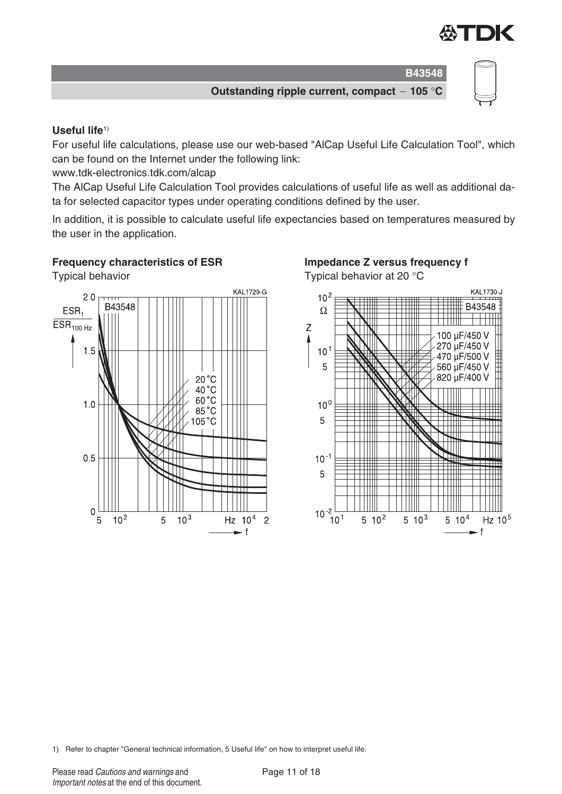

**Outstanding ripple current, compact 105** °**C**

#### **Useful life**1)

For useful life calculations, please use our web-based "AlCap Useful Life Calculation Tool", which can be found on the Internet under the following link:

www.tdk-electronics.tdk.com/alcap

The AlCap Useful Life Calculation Tool provides calculations of useful life as well as additional data for selected capacitor types under operating conditions defined by the user.

In addition, it is possible to calculate useful life expectancies based on temperatures measured by the user in the application.







1) Refer to chapter "General technical information, 5 Useful life" on how to interpret useful life.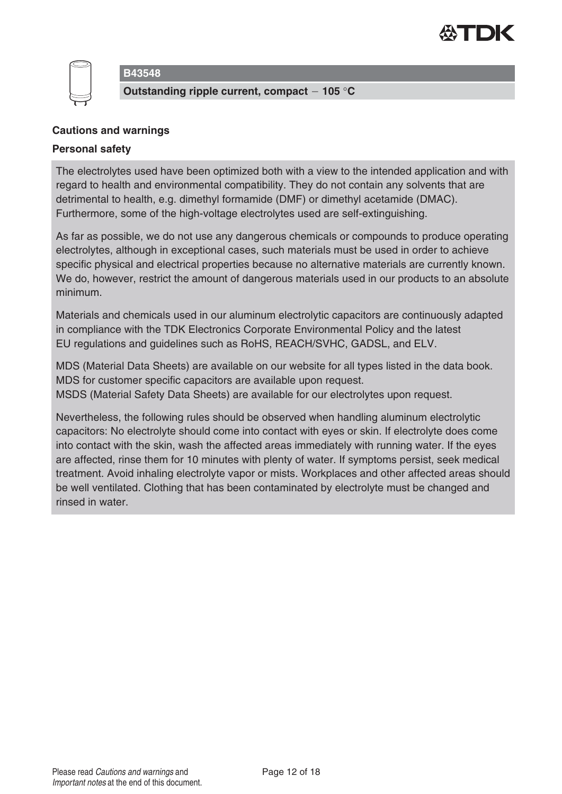



**Outstanding ripple current, compact 105** °**C**

#### **Cautions and warnings**

#### **Personal safety**

The electrolytes used have been optimized both with a view to the intended application and with regard to health and environmental compatibility. They do not contain any solvents that are detrimental to health, e.g. dimethyl formamide (DMF) or dimethyl acetamide (DMAC). Furthermore, some of the high-voltage electrolytes used are self-extinguishing.

As far as possible, we do not use any dangerous chemicals or compounds to produce operating electrolytes, although in exceptional cases, such materials must be used in order to achieve specific physical and electrical properties because no alternative materials are currently known. We do, however, restrict the amount of dangerous materials used in our products to an absolute minimum.

Materials and chemicals used in our aluminum electrolytic capacitors are continuously adapted in compliance with the TDK Electronics Corporate Environmental Policy and the latest EU regulations and guidelines such as RoHS, REACH/SVHC, GADSL, and ELV.

MDS (Material Data Sheets) are available on our website for all types listed in the data book. MDS for customer specific capacitors are available upon request. MSDS (Material Safety Data Sheets) are available for our electrolytes upon request.

Nevertheless, the following rules should be observed when handling aluminum electrolytic capacitors: No electrolyte should come into contact with eyes or skin. If electrolyte does come into contact with the skin, wash the affected areas immediately with running water. If the eyes are affected, rinse them for 10 minutes with plenty of water. If symptoms persist, seek medical treatment. Avoid inhaling electrolyte vapor or mists. Workplaces and other affected areas should be well ventilated. Clothing that has been contaminated by electrolyte must be changed and rinsed in water.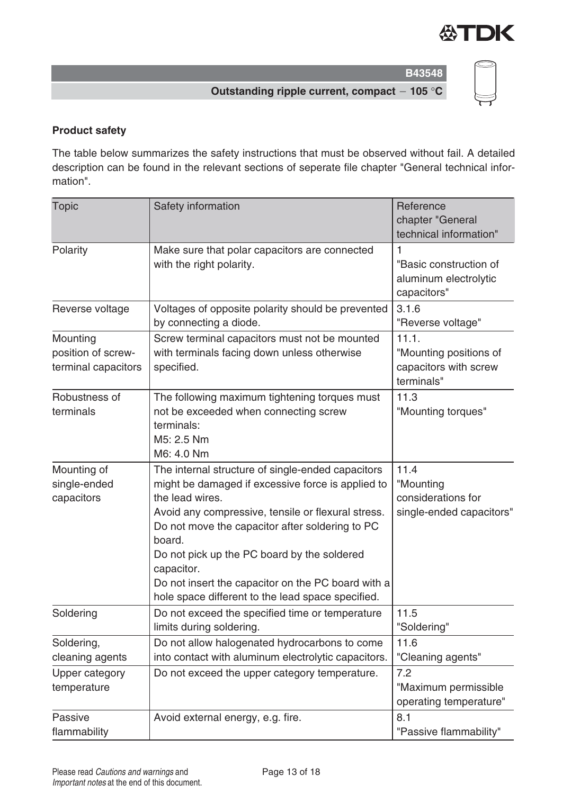

**Outstanding ripple current, compact 105** °**C**

## **Product safety**

The table below summarizes the safety instructions that must be observed without fail. A detailed description can be found in the relevant sections of seperate file chapter "General technical information".

| <b>Topic</b>                                          | Safety information                                                                                                                                                                                                                                                                                                                                                                                                   | Reference<br>chapter "General<br>technical information"                |
|-------------------------------------------------------|----------------------------------------------------------------------------------------------------------------------------------------------------------------------------------------------------------------------------------------------------------------------------------------------------------------------------------------------------------------------------------------------------------------------|------------------------------------------------------------------------|
| Polarity                                              | Make sure that polar capacitors are connected<br>with the right polarity.                                                                                                                                                                                                                                                                                                                                            | 1<br>"Basic construction of<br>aluminum electrolytic<br>capacitors"    |
| Reverse voltage                                       | Voltages of opposite polarity should be prevented<br>by connecting a diode.                                                                                                                                                                                                                                                                                                                                          | 3.1.6<br>"Reverse voltage"                                             |
| Mounting<br>position of screw-<br>terminal capacitors | Screw terminal capacitors must not be mounted<br>with terminals facing down unless otherwise<br>specified.                                                                                                                                                                                                                                                                                                           | 11.1.<br>"Mounting positions of<br>capacitors with screw<br>terminals" |
| Robustness of<br>terminals                            | The following maximum tightening torques must<br>not be exceeded when connecting screw<br>terminals:<br>M5: 2.5 Nm<br>M6: 4.0 Nm                                                                                                                                                                                                                                                                                     | 11.3<br>"Mounting torques"                                             |
| Mounting of<br>single-ended<br>capacitors             | The internal structure of single-ended capacitors<br>might be damaged if excessive force is applied to<br>the lead wires.<br>Avoid any compressive, tensile or flexural stress.<br>Do not move the capacitor after soldering to PC<br>board.<br>Do not pick up the PC board by the soldered<br>capacitor.<br>Do not insert the capacitor on the PC board with a<br>hole space different to the lead space specified. | 11.4<br>"Mounting<br>considerations for<br>single-ended capacitors"    |
| Soldering                                             | Do not exceed the specified time or temperature<br>limits during soldering.                                                                                                                                                                                                                                                                                                                                          | 11.5<br>"Soldering"                                                    |
| Soldering,<br>cleaning agents                         | Do not allow halogenated hydrocarbons to come<br>into contact with aluminum electrolytic capacitors.                                                                                                                                                                                                                                                                                                                 | 11.6<br>"Cleaning agents"                                              |
| Upper category<br>temperature                         | Do not exceed the upper category temperature.                                                                                                                                                                                                                                                                                                                                                                        | 7.2<br>"Maximum permissible<br>operating temperature"                  |
| Passive<br>flammability                               | Avoid external energy, e.g. fire.                                                                                                                                                                                                                                                                                                                                                                                    | 8.1<br>"Passive flammability"                                          |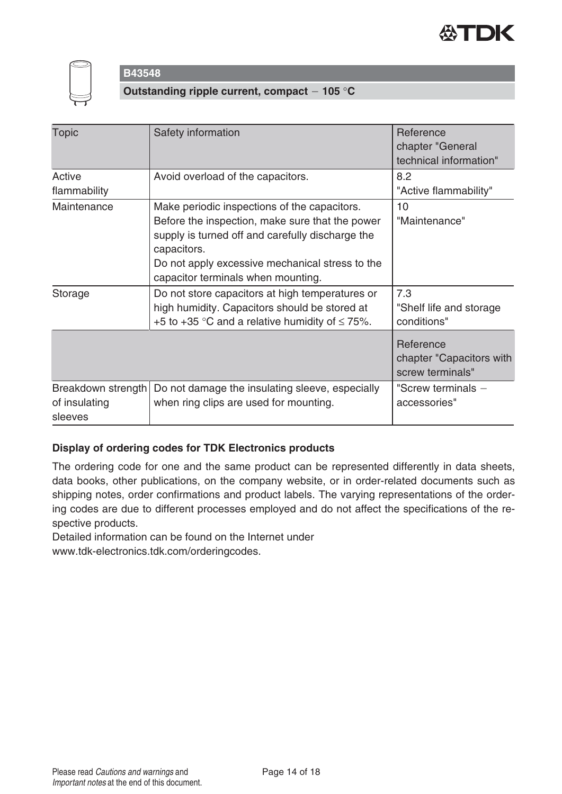



**Outstanding ripple current, compact 105** °**C**

| <b>Topic</b>                                   | Safety information                                                                                                                                                                                                                                          | Reference<br>chapter "General<br>technical information"   |
|------------------------------------------------|-------------------------------------------------------------------------------------------------------------------------------------------------------------------------------------------------------------------------------------------------------------|-----------------------------------------------------------|
| Active<br>flammability                         | Avoid overload of the capacitors.                                                                                                                                                                                                                           | 8.2<br>"Active flammability"                              |
| Maintenance                                    | Make periodic inspections of the capacitors.<br>Before the inspection, make sure that the power<br>supply is turned off and carefully discharge the<br>capacitors.<br>Do not apply excessive mechanical stress to the<br>capacitor terminals when mounting. | 10<br>"Maintenance"                                       |
| Storage                                        | Do not store capacitors at high temperatures or<br>high humidity. Capacitors should be stored at<br>+5 to +35 °C and a relative humidity of $\leq$ 75%.                                                                                                     | 7.3<br>"Shelf life and storage<br>conditions"             |
|                                                |                                                                                                                                                                                                                                                             | Reference<br>chapter "Capacitors with<br>screw terminals" |
| Breakdown strength<br>of insulating<br>sleeves | Do not damage the insulating sleeve, especially<br>when ring clips are used for mounting.                                                                                                                                                                   | "Screw terminals $-$<br>accessories"                      |

## **Display of ordering codes for TDK Electronics products**

The ordering code for one and the same product can be represented differently in data sheets, data books, other publications, on the company website, or in order-related documents such as shipping notes, order confirmations and product labels. The varying representations of the ordering codes are due to different processes employed and do not affect the specifications of the respective products.

Detailed information can be found on the Internet under

www.tdk-electronics.tdk.com/orderingcodes.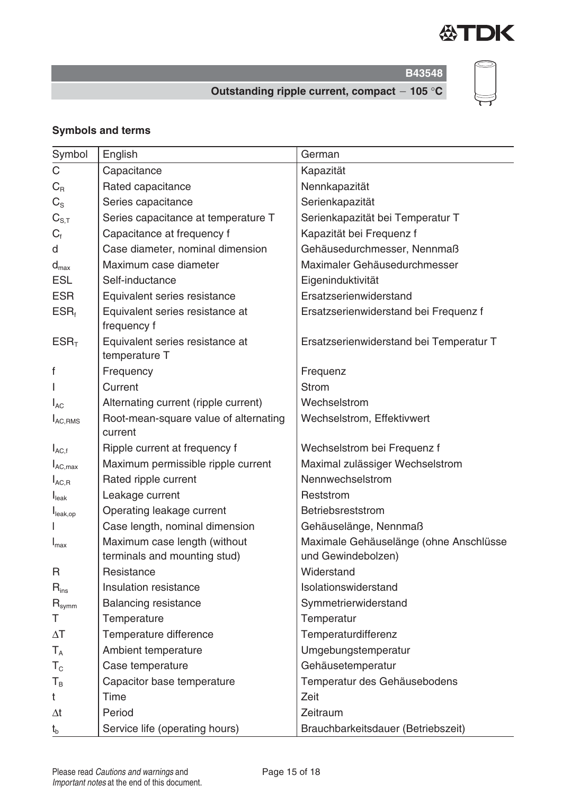

**B43548**

**Outstanding ripple current, compact 105** °**C**

## **Symbols and terms**

| Symbol                       | English                                                      | German                                                       |
|------------------------------|--------------------------------------------------------------|--------------------------------------------------------------|
| $\mathsf C$                  | Capacitance                                                  | Kapazität                                                    |
| $C_{R}$                      | Rated capacitance                                            | Nennkapazität                                                |
| $C_{\rm S}$                  | Series capacitance                                           | Serienkapazität                                              |
| $C_{S,T}$                    | Series capacitance at temperature T                          | Serienkapazität bei Temperatur T                             |
| $C_{\text{f}}$               | Capacitance at frequency f                                   | Kapazität bei Frequenz f                                     |
| d                            | Case diameter, nominal dimension                             | Gehäusedurchmesser, Nennmaß                                  |
| $d_{\text{max}}$             | Maximum case diameter                                        | Maximaler Gehäusedurchmesser                                 |
| <b>ESL</b>                   | Self-inductance                                              | Eigeninduktivität                                            |
| <b>ESR</b>                   | Equivalent series resistance                                 | Ersatzserienwiderstand                                       |
| $ESR_t$                      | Equivalent series resistance at<br>frequency f               | Ersatzserienwiderstand bei Frequenz f                        |
| ESR <sub>T</sub>             | Equivalent series resistance at<br>temperature T             | Ersatzserienwiderstand bei Temperatur T                      |
| f                            | Frequency                                                    | Frequenz                                                     |
|                              | Current                                                      | <b>Strom</b>                                                 |
| $I_{AC}$                     | Alternating current (ripple current)                         | Wechselstrom                                                 |
| $I_{AC,RMS}$                 | Root-mean-square value of alternating<br>current             | Wechselstrom, Effektivwert                                   |
| $I_{AC,f}$                   | Ripple current at frequency f                                | Wechselstrom bei Frequenz f                                  |
| $I_{AC,max}$                 | Maximum permissible ripple current                           | Maximal zulässiger Wechselstrom                              |
| $I_{AC, R}$                  | Rated ripple current                                         | Nennwechselstrom                                             |
| $I_{\text{leak}}$            | Leakage current                                              | Reststrom                                                    |
| I <sub>leak,op</sub>         | Operating leakage current                                    | Betriebsreststrom                                            |
|                              | Case length, nominal dimension                               | Gehäuselänge, Nennmaß                                        |
| $I_{\text{max}}$             | Maximum case length (without<br>terminals and mounting stud) | Maximale Gehäuselänge (ohne Anschlüsse<br>und Gewindebolzen) |
| R                            | Resistance                                                   | Widerstand                                                   |
| $R_{ins}$                    | Insulation resistance                                        | Isolationswiderstand                                         |
| $\mathsf{R}_{\mathsf{symm}}$ | <b>Balancing resistance</b>                                  | Symmetrierwiderstand                                         |
| Τ                            | Temperature                                                  | Temperatur                                                   |
| $\Delta T$                   | Temperature difference                                       | Temperaturdifferenz                                          |
| $T_A$                        | Ambient temperature                                          | Umgebungstemperatur                                          |
| $T_{\rm c}$                  | Case temperature                                             | Gehäusetemperatur                                            |
| $T_B$                        | Capacitor base temperature                                   | Temperatur des Gehäusebodens                                 |
| t                            | Time                                                         | Zeit                                                         |
| $\Delta t$                   | Period                                                       | Zeitraum                                                     |
| $t_{b}$                      | Service life (operating hours)                               | Brauchbarkeitsdauer (Betriebszeit)                           |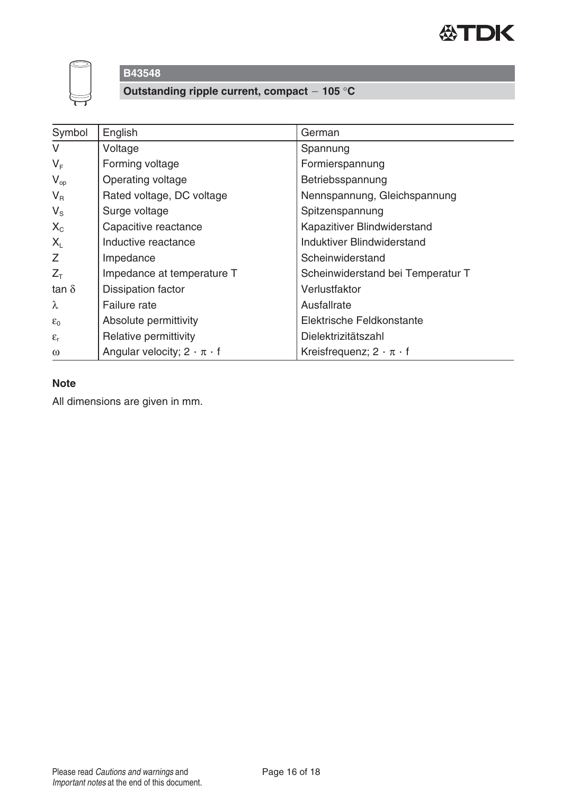



**Outstanding ripple current, compact 105** °**C**

| Symbol          | English                                 | German                               |
|-----------------|-----------------------------------------|--------------------------------------|
| $\vee$          | Voltage                                 | Spannung                             |
| $V_F$           | Forming voltage                         | Formierspannung                      |
| $V_{op}$        | Operating voltage                       | Betriebsspannung                     |
| $V_{\rm R}$     | Rated voltage, DC voltage               | Nennspannung, Gleichspannung         |
| $V_{\rm S}$     | Surge voltage                           | Spitzenspannung                      |
| $X_{C}$         | Capacitive reactance                    | Kapazitiver Blindwiderstand          |
| $X_{L}$         | Inductive reactance                     | Induktiver Blindwiderstand           |
| Z               | Impedance                               | Scheinwiderstand                     |
| $Z_T$           | Impedance at temperature T              | Scheinwiderstand bei Temperatur T    |
| tan $\delta$    | Dissipation factor                      | Verlustfaktor                        |
| $\lambda$       | Failure rate                            | Ausfallrate                          |
| $\varepsilon_0$ | Absolute permittivity                   | Elektrische Feldkonstante            |
| $\epsilon_{r}$  | Relative permittivity                   | Dielektrizitätszahl                  |
| $\omega$        | Angular velocity; $2 \cdot \pi \cdot f$ | Kreisfrequenz; $2 \cdot \pi \cdot f$ |

## **Note**

All dimensions are given in mm.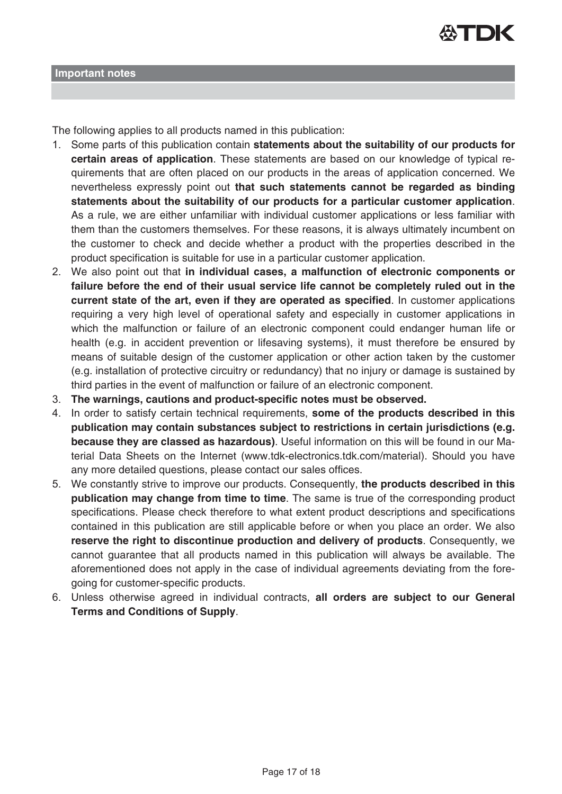

The following applies to all products named in this publication:

- 1. Some parts of this publication contain **statements about the suitability of our products for certain areas of application**. These statements are based on our knowledge of typical requirements that are often placed on our products in the areas of application concerned. We nevertheless expressly point out **that such statements cannot be regarded as binding statements about the suitability of our products for a particular customer application**. As a rule, we are either unfamiliar with individual customer applications or less familiar with them than the customers themselves. For these reasons, it is always ultimately incumbent on the customer to check and decide whether a product with the properties described in the product specification is suitable for use in a particular customer application.
- 2. We also point out that **in individual cases, a malfunction of electronic components or failure before the end of their usual service life cannot be completely ruled out in the current state of the art, even if they are operated as specified**. In customer applications requiring a very high level of operational safety and especially in customer applications in which the malfunction or failure of an electronic component could endanger human life or health (e.g. in accident prevention or lifesaving systems), it must therefore be ensured by means of suitable design of the customer application or other action taken by the customer (e.g. installation of protective circuitry or redundancy) that no injury or damage is sustained by third parties in the event of malfunction or failure of an electronic component.
- 3. **The warnings, cautions and product-specific notes must be observed.**
- 4. In order to satisfy certain technical requirements, **some of the products described in this publication may contain substances subject to restrictions in certain jurisdictions (e.g. because they are classed as hazardous)**. Useful information on this will be found in our Material Data Sheets on the Internet (www.tdk-electronics.tdk.com/material). Should you have any more detailed questions, please contact our sales offices.
- 5. We constantly strive to improve our products. Consequently, **the products described in this publication may change from time to time**. The same is true of the corresponding product specifications. Please check therefore to what extent product descriptions and specifications contained in this publication are still applicable before or when you place an order. We also **reserve the right to discontinue production and delivery of products**. Consequently, we cannot guarantee that all products named in this publication will always be available. The aforementioned does not apply in the case of individual agreements deviating from the foregoing for customer-specific products.
- 6. Unless otherwise agreed in individual contracts, **all orders are subject to our General Terms and Conditions of Supply**.